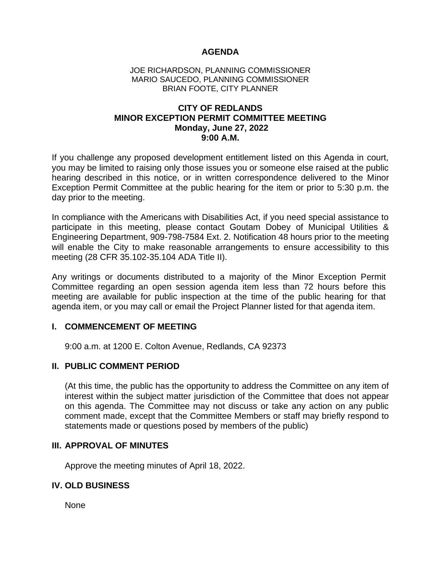## **AGENDA**

### JOE RICHARDSON, PLANNING COMMISSIONER MARIO SAUCEDO, PLANNING COMMISSIONER BRIAN FOOTE, CITY PLANNER

## **CITY OF REDLANDS MINOR EXCEPTION PERMIT COMMITTEE MEETING Monday, June 27, 2022 9:00 A.M.**

If you challenge any proposed development entitlement listed on this Agenda in court, you may be limited to raising only those issues you or someone else raised at the public hearing described in this notice, or in written correspondence delivered to the Minor Exception Permit Committee at the public hearing for the item or prior to 5:30 p.m. the day prior to the meeting.

In compliance with the Americans with Disabilities Act, if you need special assistance to participate in this meeting, please contact Goutam Dobey of Municipal Utilities & Engineering Department, 909-798-7584 Ext. 2. Notification 48 hours prior to the meeting will enable the City to make reasonable arrangements to ensure accessibility to this meeting (28 CFR 35.102-35.104 ADA Title II).

Any writings or documents distributed to a majority of the Minor Exception Permit Committee regarding an open session agenda item less than 72 hours before this meeting are available for public inspection at the time of the public hearing for that agenda item, or you may call or email the Project Planner listed for that agenda item.

## **I. COMMENCEMENT OF MEETING**

9:00 a.m. at 1200 E. Colton Avenue, Redlands, CA 92373

## **II. PUBLIC COMMENT PERIOD**

(At this time, the public has the opportunity to address the Committee on any item of interest within the subject matter jurisdiction of the Committee that does not appear on this agenda. The Committee may not discuss or take any action on any public comment made, except that the Committee Members or staff may briefly respond to statements made or questions posed by members of the public)

## **III. APPROVAL OF MINUTES**

Approve the meeting minutes of April 18, 2022.

## **IV. OLD BUSINESS**

None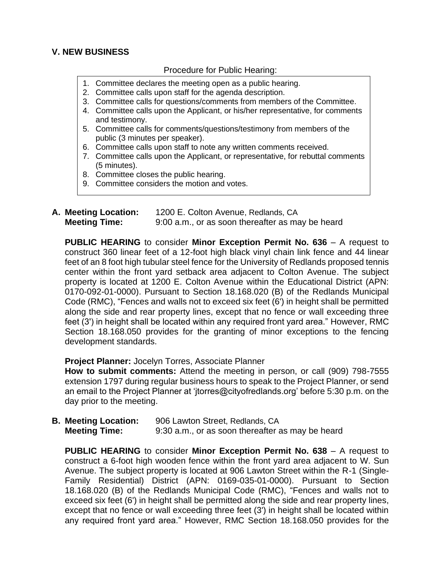# **V. NEW BUSINESS**

## Procedure for Public Hearing:

- 1. Committee declares the meeting open as a public hearing.
- 2. Committee calls upon staff for the agenda description.
- 3. Committee calls for questions/comments from members of the Committee.
- 4. Committee calls upon the Applicant, or his/her representative, for comments and testimony.
- 5. Committee calls for comments/questions/testimony from members of the public (3 minutes per speaker).
- 6. Committee calls upon staff to note any written comments received.
- 7. Committee calls upon the Applicant, or representative, for rebuttal comments (5 minutes).
- 8. Committee closes the public hearing.
- 9. Committee considers the motion and votes.
- **A. Meeting Location:** 1200 E. Colton Avenue, Redlands, CA **Meeting Time:** 9:00 a.m., or as soon thereafter as may be heard

**PUBLIC HEARING** to consider **Minor Exception Permit No. 636** – A request to construct 360 linear feet of a 12-foot high black vinyl chain link fence and 44 linear feet of an 8 foot high tubular steel fence for the University of Redlands proposed tennis center within the front yard setback area adjacent to Colton Avenue. The subject property is located at 1200 E. Colton Avenue within the Educational District (APN: 0170-092-01-0000). Pursuant to Section 18.168.020 (B) of the Redlands Municipal Code (RMC), "Fences and walls not to exceed six feet (6') in height shall be permitted along the side and rear property lines, except that no fence or wall exceeding three feet (3') in height shall be located within any required front yard area." However, RMC Section 18.168.050 provides for the granting of minor exceptions to the fencing development standards.

## **Project Planner:** Jocelyn Torres, Associate Planner

**How to submit comments:** Attend the meeting in person, or call (909) 798-7555 extension 1797 during regular business hours to speak to the Project Planner, or send an email to the Project Planner at 'jtorres@cityofredlands.org' before 5:30 p.m. on the day prior to the meeting.

**B. Meeting Location:** 906 Lawton Street, Redlands, CA **Meeting Time:** 9:30 a.m., or as soon thereafter as may be heard

**PUBLIC HEARING** to consider **Minor Exception Permit No. 638** – A request to construct a 6-foot high wooden fence within the front yard area adjacent to W. Sun Avenue. The subject property is located at 906 Lawton Street within the R-1 (Single-Family Residential) District (APN: 0169-035-01-0000). Pursuant to Section 18.168.020 (B) of the Redlands Municipal Code (RMC), "Fences and walls not to exceed six feet (6') in height shall be permitted along the side and rear property lines, except that no fence or wall exceeding three feet (3') in height shall be located within any required front yard area." However, RMC Section 18.168.050 provides for the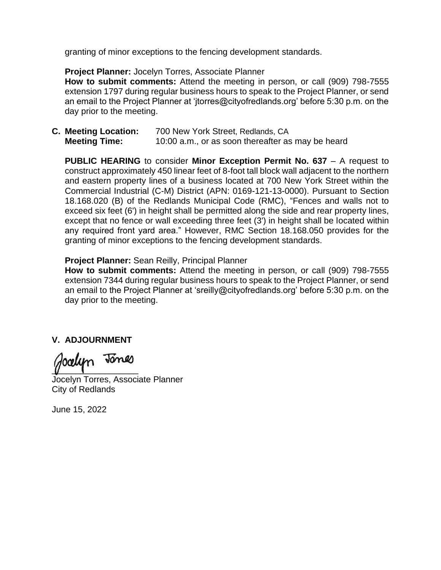granting of minor exceptions to the fencing development standards.

## **Project Planner:** Jocelyn Torres, Associate Planner

**How to submit comments:** Attend the meeting in person, or call (909) 798-7555 extension 1797 during regular business hours to speak to the Project Planner, or send an email to the Project Planner at 'jtorres@cityofredlands.org' before 5:30 p.m. on the day prior to the meeting.

**C. Meeting Location:** 700 New York Street, Redlands, CA **Meeting Time:** 10:00 a.m., or as soon thereafter as may be heard

**PUBLIC HEARING** to consider **Minor Exception Permit No. 637** – A request to construct approximately 450 linear feet of 8-foot tall block wall adjacent to the northern and eastern property lines of a business located at 700 New York Street within the Commercial Industrial (C-M) District (APN: 0169-121-13-0000). Pursuant to Section 18.168.020 (B) of the Redlands Municipal Code (RMC), "Fences and walls not to exceed six feet (6') in height shall be permitted along the side and rear property lines, except that no fence or wall exceeding three feet (3') in height shall be located within any required front yard area." However, RMC Section 18.168.050 provides for the granting of minor exceptions to the fencing development standards.

## **Project Planner:** Sean Reilly, Principal Planner

**How to submit comments:** Attend the meeting in person, or call (909) 798-7555 extension 7344 during regular business hours to speak to the Project Planner, or send an email to the Project Planner at 'sreilly@cityofredlands.org' before 5:30 p.m. on the day prior to the meeting.

# **V. ADJOURNMENT**

\_\_\_\_\_\_\_\_\_\_\_\_\_\_\_\_\_\_

Jocelyn Torres, Associate Planner City of Redlands

June 15, 2022